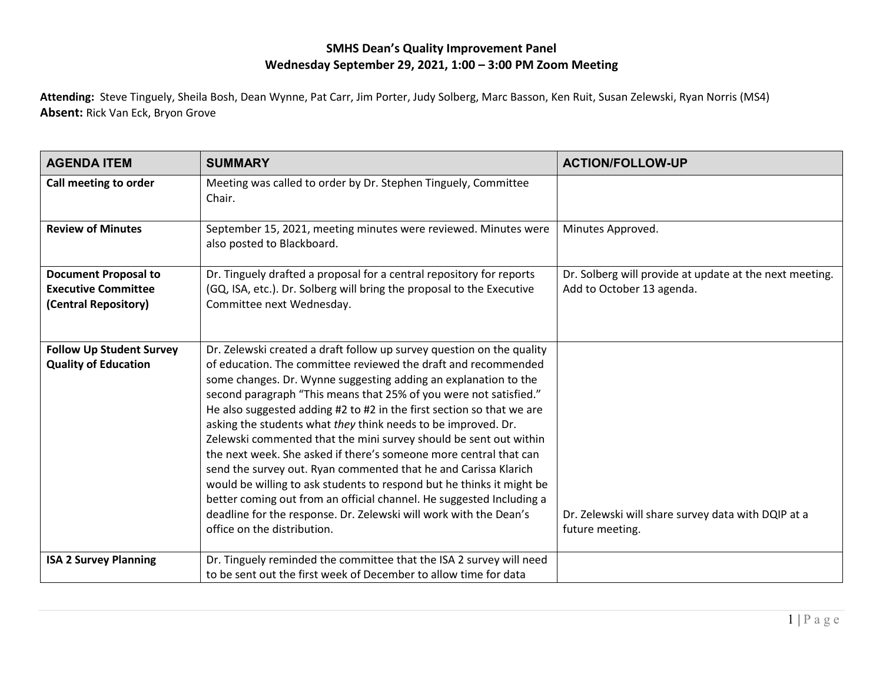## **SMHS Dean's Quality Improvement Panel Wednesday September 29, 2021, 1:00 – 3:00 PM Zoom Meeting**

**Attending:** Steve Tinguely, Sheila Bosh, Dean Wynne, Pat Carr, Jim Porter, Judy Solberg, Marc Basson, Ken Ruit, Susan Zelewski, Ryan Norris (MS4) **Absent:** Rick Van Eck, Bryon Grove

| <b>AGENDA ITEM</b>                                                                | <b>SUMMARY</b>                                                                                                                                                                                                                                                                                                                                                                                                                                                                                                                                                                                                                                                                                                                                                                                                                                                                              | <b>ACTION/FOLLOW-UP</b>                                                              |
|-----------------------------------------------------------------------------------|---------------------------------------------------------------------------------------------------------------------------------------------------------------------------------------------------------------------------------------------------------------------------------------------------------------------------------------------------------------------------------------------------------------------------------------------------------------------------------------------------------------------------------------------------------------------------------------------------------------------------------------------------------------------------------------------------------------------------------------------------------------------------------------------------------------------------------------------------------------------------------------------|--------------------------------------------------------------------------------------|
| Call meeting to order                                                             | Meeting was called to order by Dr. Stephen Tinguely, Committee<br>Chair.                                                                                                                                                                                                                                                                                                                                                                                                                                                                                                                                                                                                                                                                                                                                                                                                                    |                                                                                      |
| <b>Review of Minutes</b>                                                          | September 15, 2021, meeting minutes were reviewed. Minutes were<br>also posted to Blackboard.                                                                                                                                                                                                                                                                                                                                                                                                                                                                                                                                                                                                                                                                                                                                                                                               | Minutes Approved.                                                                    |
| <b>Document Proposal to</b><br><b>Executive Committee</b><br>(Central Repository) | Dr. Tinguely drafted a proposal for a central repository for reports<br>(GQ, ISA, etc.). Dr. Solberg will bring the proposal to the Executive<br>Committee next Wednesday.                                                                                                                                                                                                                                                                                                                                                                                                                                                                                                                                                                                                                                                                                                                  | Dr. Solberg will provide at update at the next meeting.<br>Add to October 13 agenda. |
| <b>Follow Up Student Survey</b><br><b>Quality of Education</b>                    | Dr. Zelewski created a draft follow up survey question on the quality<br>of education. The committee reviewed the draft and recommended<br>some changes. Dr. Wynne suggesting adding an explanation to the<br>second paragraph "This means that 25% of you were not satisfied."<br>He also suggested adding #2 to #2 in the first section so that we are<br>asking the students what they think needs to be improved. Dr.<br>Zelewski commented that the mini survey should be sent out within<br>the next week. She asked if there's someone more central that can<br>send the survey out. Ryan commented that he and Carissa Klarich<br>would be willing to ask students to respond but he thinks it might be<br>better coming out from an official channel. He suggested Including a<br>deadline for the response. Dr. Zelewski will work with the Dean's<br>office on the distribution. | Dr. Zelewski will share survey data with DQIP at a<br>future meeting.                |
| <b>ISA 2 Survey Planning</b>                                                      | Dr. Tinguely reminded the committee that the ISA 2 survey will need<br>to be sent out the first week of December to allow time for data                                                                                                                                                                                                                                                                                                                                                                                                                                                                                                                                                                                                                                                                                                                                                     |                                                                                      |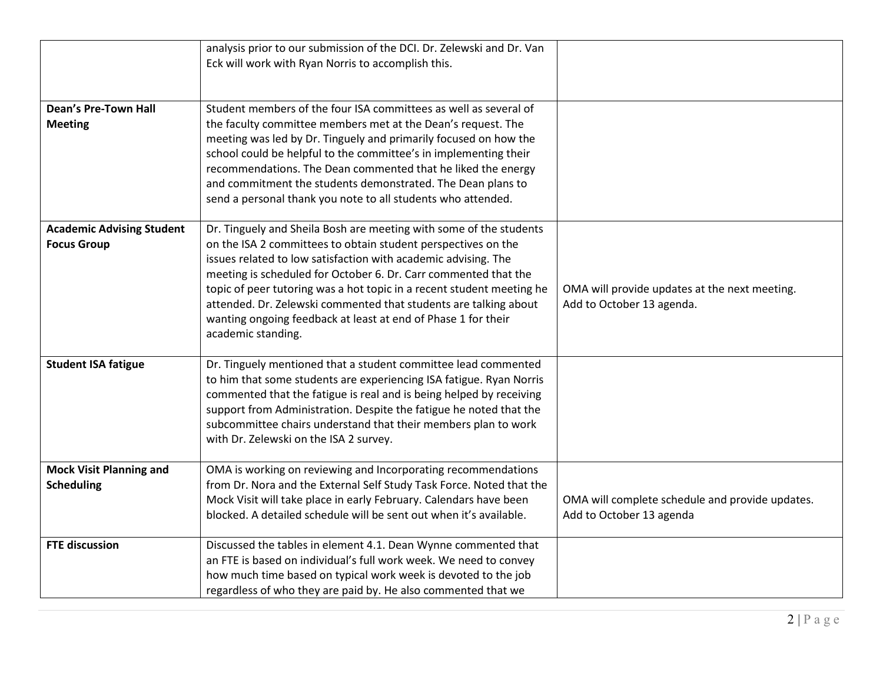|                                                        | analysis prior to our submission of the DCI. Dr. Zelewski and Dr. Van<br>Eck will work with Ryan Norris to accomplish this.                                                                                                                                                                                                                                                                                                                                                                                  |                                                                             |
|--------------------------------------------------------|--------------------------------------------------------------------------------------------------------------------------------------------------------------------------------------------------------------------------------------------------------------------------------------------------------------------------------------------------------------------------------------------------------------------------------------------------------------------------------------------------------------|-----------------------------------------------------------------------------|
| <b>Dean's Pre-Town Hall</b><br><b>Meeting</b>          | Student members of the four ISA committees as well as several of<br>the faculty committee members met at the Dean's request. The<br>meeting was led by Dr. Tinguely and primarily focused on how the<br>school could be helpful to the committee's in implementing their<br>recommendations. The Dean commented that he liked the energy<br>and commitment the students demonstrated. The Dean plans to<br>send a personal thank you note to all students who attended.                                      |                                                                             |
| <b>Academic Advising Student</b><br><b>Focus Group</b> | Dr. Tinguely and Sheila Bosh are meeting with some of the students<br>on the ISA 2 committees to obtain student perspectives on the<br>issues related to low satisfaction with academic advising. The<br>meeting is scheduled for October 6. Dr. Carr commented that the<br>topic of peer tutoring was a hot topic in a recent student meeting he<br>attended. Dr. Zelewski commented that students are talking about<br>wanting ongoing feedback at least at end of Phase 1 for their<br>academic standing. | OMA will provide updates at the next meeting.<br>Add to October 13 agenda.  |
| <b>Student ISA fatigue</b>                             | Dr. Tinguely mentioned that a student committee lead commented<br>to him that some students are experiencing ISA fatigue. Ryan Norris<br>commented that the fatigue is real and is being helped by receiving<br>support from Administration. Despite the fatigue he noted that the<br>subcommittee chairs understand that their members plan to work<br>with Dr. Zelewski on the ISA 2 survey.                                                                                                               |                                                                             |
| <b>Mock Visit Planning and</b><br><b>Scheduling</b>    | OMA is working on reviewing and Incorporating recommendations<br>from Dr. Nora and the External Self Study Task Force. Noted that the<br>Mock Visit will take place in early February. Calendars have been<br>blocked. A detailed schedule will be sent out when it's available.                                                                                                                                                                                                                             | OMA will complete schedule and provide updates.<br>Add to October 13 agenda |
| <b>FTE discussion</b>                                  | Discussed the tables in element 4.1. Dean Wynne commented that<br>an FTE is based on individual's full work week. We need to convey<br>how much time based on typical work week is devoted to the job<br>regardless of who they are paid by. He also commented that we                                                                                                                                                                                                                                       |                                                                             |